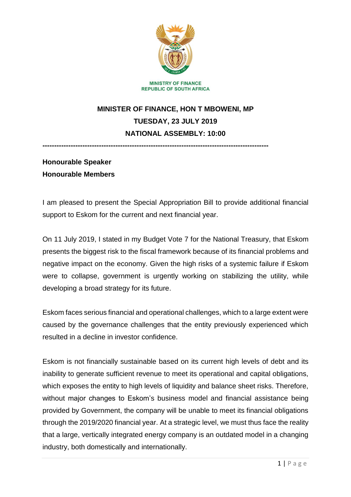

# **MINISTER OF FINANCE, HON T MBOWENI, MP TUESDAY, 23 JULY 2019 NATIONAL ASSEMBLY: 10:00**

**------------------------------------------------------------------------------------------------**

## **Honourable Speaker Honourable Members**

I am pleased to present the Special Appropriation Bill to provide additional financial support to Eskom for the current and next financial year.

On 11 July 2019, I stated in my Budget Vote 7 for the National Treasury, that Eskom presents the biggest risk to the fiscal framework because of its financial problems and negative impact on the economy. Given the high risks of a systemic failure if Eskom were to collapse, government is urgently working on stabilizing the utility, while developing a broad strategy for its future.

Eskom faces serious financial and operational challenges, which to a large extent were caused by the governance challenges that the entity previously experienced which resulted in a decline in investor confidence.

Eskom is not financially sustainable based on its current high levels of debt and its inability to generate sufficient revenue to meet its operational and capital obligations, which exposes the entity to high levels of liquidity and balance sheet risks. Therefore, without major changes to Eskom's business model and financial assistance being provided by Government, the company will be unable to meet its financial obligations through the 2019/2020 financial year. At a strategic level, we must thus face the reality that a large, vertically integrated energy company is an outdated model in a changing industry, both domestically and internationally.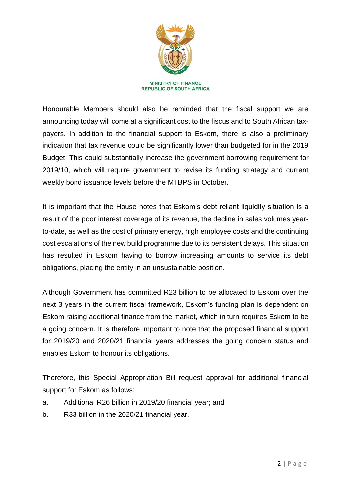

Honourable Members should also be reminded that the fiscal support we are announcing today will come at a significant cost to the fiscus and to South African taxpayers. In addition to the financial support to Eskom, there is also a preliminary indication that tax revenue could be significantly lower than budgeted for in the 2019 Budget. This could substantially increase the government borrowing requirement for 2019/10, which will require government to revise its funding strategy and current weekly bond issuance levels before the MTBPS in October.

It is important that the House notes that Eskom's debt reliant liquidity situation is a result of the poor interest coverage of its revenue, the decline in sales volumes yearto-date, as well as the cost of primary energy, high employee costs and the continuing cost escalations of the new build programme due to its persistent delays. This situation has resulted in Eskom having to borrow increasing amounts to service its debt obligations, placing the entity in an unsustainable position.

Although Government has committed R23 billion to be allocated to Eskom over the next 3 years in the current fiscal framework, Eskom's funding plan is dependent on Eskom raising additional finance from the market, which in turn requires Eskom to be a going concern. It is therefore important to note that the proposed financial support for 2019/20 and 2020/21 financial years addresses the going concern status and enables Eskom to honour its obligations.

Therefore, this Special Appropriation Bill request approval for additional financial support for Eskom as follows:

- a. Additional R26 billion in 2019/20 financial year; and
- b. R33 billion in the 2020/21 financial year.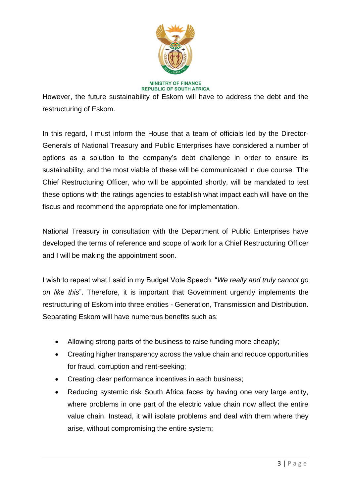

#### **MINISTRY OF FINANCE REPUBLIC OF SOUTH AFRICA**

However, the future sustainability of Eskom will have to address the debt and the restructuring of Eskom.

In this regard, I must inform the House that a team of officials led by the Director-Generals of National Treasury and Public Enterprises have considered a number of options as a solution to the company's debt challenge in order to ensure its sustainability, and the most viable of these will be communicated in due course. The Chief Restructuring Officer, who will be appointed shortly, will be mandated to test these options with the ratings agencies to establish what impact each will have on the fiscus and recommend the appropriate one for implementation.

National Treasury in consultation with the Department of Public Enterprises have developed the terms of reference and scope of work for a Chief Restructuring Officer and I will be making the appointment soon.

I wish to repeat what I said in my Budget Vote Speech: "*We really and truly cannot go on like this*". Therefore, it is important that Government urgently implements the restructuring of Eskom into three entities - Generation, Transmission and Distribution. Separating Eskom will have numerous benefits such as:

- Allowing strong parts of the business to raise funding more cheaply;
- Creating higher transparency across the value chain and reduce opportunities for fraud, corruption and rent-seeking;
- Creating clear performance incentives in each business;
- Reducing systemic risk South Africa faces by having one very large entity, where problems in one part of the electric value chain now affect the entire value chain. Instead, it will isolate problems and deal with them where they arise, without compromising the entire system;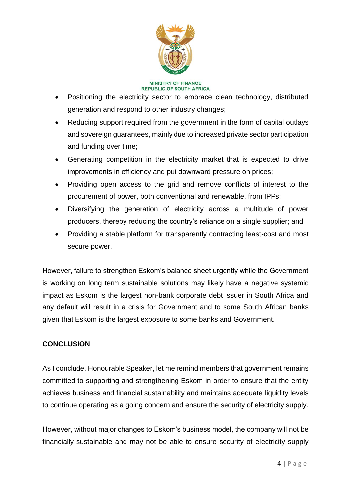

#### **MINISTRY OF FINANCE REPUBLIC OF SOUTH AFRICA**

- Positioning the electricity sector to embrace clean technology, distributed generation and respond to other industry changes;
- Reducing support required from the government in the form of capital outlays and sovereign guarantees, mainly due to increased private sector participation and funding over time;
- Generating competition in the electricity market that is expected to drive improvements in efficiency and put downward pressure on prices;
- Providing open access to the grid and remove conflicts of interest to the procurement of power, both conventional and renewable, from IPPs;
- Diversifying the generation of electricity across a multitude of power producers, thereby reducing the country's reliance on a single supplier; and
- Providing a stable platform for transparently contracting least-cost and most secure power.

However, failure to strengthen Eskom's balance sheet urgently while the Government is working on long term sustainable solutions may likely have a negative systemic impact as Eskom is the largest non-bank corporate debt issuer in South Africa and any default will result in a crisis for Government and to some South African banks given that Eskom is the largest exposure to some banks and Government.

### **CONCLUSION**

As I conclude, Honourable Speaker, let me remind members that government remains committed to supporting and strengthening Eskom in order to ensure that the entity achieves business and financial sustainability and maintains adequate liquidity levels to continue operating as a going concern and ensure the security of electricity supply.

However, without major changes to Eskom's business model, the company will not be financially sustainable and may not be able to ensure security of electricity supply